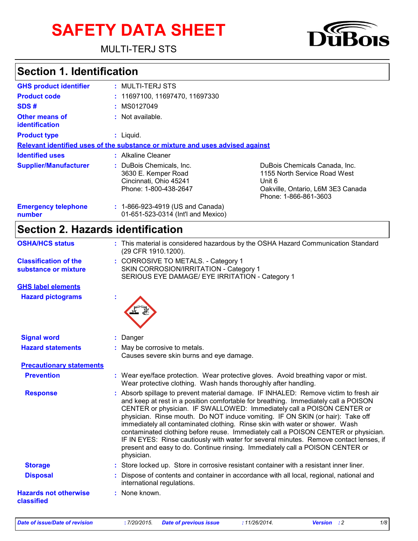# **SAFETY DATA SHEET**

MULTI-TERJ STS



| <b>GHS product identifier</b>                  | : MULTI-TERJ STS                                                                                   |                                                                                                                                       |
|------------------------------------------------|----------------------------------------------------------------------------------------------------|---------------------------------------------------------------------------------------------------------------------------------------|
| <b>Product code</b>                            | : 11697100, 11697470, 11697330                                                                     |                                                                                                                                       |
| SDS#                                           | : MS0127049                                                                                        |                                                                                                                                       |
| <b>Other means of</b><br><b>identification</b> | $:$ Not available.                                                                                 |                                                                                                                                       |
| <b>Product type</b>                            | $:$ Liquid.                                                                                        |                                                                                                                                       |
|                                                | Relevant identified uses of the substance or mixture and uses advised against                      |                                                                                                                                       |
| <b>Identified uses</b>                         | : Alkaline Cleaner                                                                                 |                                                                                                                                       |
| <b>Supplier/Manufacturer</b>                   | : DuBois Chemicals, Inc.<br>3630 E. Kemper Road<br>Cincinnati, Ohio 45241<br>Phone: 1-800-438-2647 | DuBois Chemicals Canada, Inc.<br>1155 North Service Road West<br>Unit 6<br>Oakville, Ontario, L6M 3E3 Canada<br>Phone: 1-866-861-3603 |
| <b>Emergency telephone</b><br>number           | : 1-866-923-4919 (US and Canada)<br>01-651-523-0314 (Int'l and Mexico)                             |                                                                                                                                       |

## **Section 2. Hazards identification**

| <b>OSHA/HCS status</b>                               | : This material is considered hazardous by the OSHA Hazard Communication Standard<br>(29 CFR 1910.1200).                                                                                                                                                                                                                                                                                                                                                                                                                                                                                                                                                                                               |
|------------------------------------------------------|--------------------------------------------------------------------------------------------------------------------------------------------------------------------------------------------------------------------------------------------------------------------------------------------------------------------------------------------------------------------------------------------------------------------------------------------------------------------------------------------------------------------------------------------------------------------------------------------------------------------------------------------------------------------------------------------------------|
| <b>Classification of the</b><br>substance or mixture | : CORROSIVE TO METALS. - Category 1<br>SKIN CORROSION/IRRITATION - Category 1<br>SERIOUS EYE DAMAGE/ EYE IRRITATION - Category 1                                                                                                                                                                                                                                                                                                                                                                                                                                                                                                                                                                       |
| <b>GHS label elements</b>                            |                                                                                                                                                                                                                                                                                                                                                                                                                                                                                                                                                                                                                                                                                                        |
| <b>Hazard pictograms</b>                             |                                                                                                                                                                                                                                                                                                                                                                                                                                                                                                                                                                                                                                                                                                        |
| <b>Signal word</b>                                   | Danger                                                                                                                                                                                                                                                                                                                                                                                                                                                                                                                                                                                                                                                                                                 |
| <b>Hazard statements</b>                             | : May be corrosive to metals.<br>Causes severe skin burns and eye damage.                                                                                                                                                                                                                                                                                                                                                                                                                                                                                                                                                                                                                              |
| <b>Precautionary statements</b>                      |                                                                                                                                                                                                                                                                                                                                                                                                                                                                                                                                                                                                                                                                                                        |
| <b>Prevention</b>                                    | : Wear eye/face protection. Wear protective gloves. Avoid breathing vapor or mist.<br>Wear protective clothing. Wash hands thoroughly after handling.                                                                                                                                                                                                                                                                                                                                                                                                                                                                                                                                                  |
| <b>Response</b>                                      | : Absorb spillage to prevent material damage. IF INHALED: Remove victim to fresh air<br>and keep at rest in a position comfortable for breathing. Immediately call a POISON<br>CENTER or physician. IF SWALLOWED: Immediately call a POISON CENTER or<br>physician. Rinse mouth. Do NOT induce vomiting. IF ON SKIN (or hair): Take off<br>immediately all contaminated clothing. Rinse skin with water or shower. Wash<br>contaminated clothing before reuse. Immediately call a POISON CENTER or physician.<br>IF IN EYES: Rinse cautiously with water for several minutes. Remove contact lenses, if<br>present and easy to do. Continue rinsing. Immediately call a POISON CENTER or<br>physician. |
| <b>Storage</b>                                       | : Store locked up. Store in corrosive resistant container with a resistant inner liner.                                                                                                                                                                                                                                                                                                                                                                                                                                                                                                                                                                                                                |
| <b>Disposal</b>                                      | : Dispose of contents and container in accordance with all local, regional, national and<br>international regulations.                                                                                                                                                                                                                                                                                                                                                                                                                                                                                                                                                                                 |
| <b>Hazards not otherwise</b><br>classified           | : None known.                                                                                                                                                                                                                                                                                                                                                                                                                                                                                                                                                                                                                                                                                          |

*Date of issue/Date of revision* **:** *7/20/2015. Date of previous issue : 11/26/2014. Version : 2 1/8*



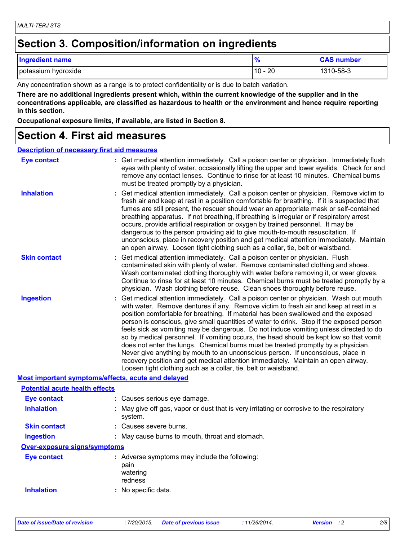### **Section 3. Composition/information on ingredients**

| <b>Ingredient name</b> |                         | <b>CAS number</b> |
|------------------------|-------------------------|-------------------|
| potassium hydroxide    | 20<br>$\Delta$<br>1 U - | 1310-58-3         |

Any concentration shown as a range is to protect confidentiality or is due to batch variation.

**There are no additional ingredients present which, within the current knowledge of the supplier and in the concentrations applicable, are classified as hazardous to health or the environment and hence require reporting in this section.**

**Occupational exposure limits, if available, are listed in Section 8.**

### **Section 4. First aid measures**

#### **Description of necessary first aid measures**

| <b>Eye contact</b>                                 | : Get medical attention immediately. Call a poison center or physician. Immediately flush<br>eyes with plenty of water, occasionally lifting the upper and lower eyelids. Check for and<br>remove any contact lenses. Continue to rinse for at least 10 minutes. Chemical burns<br>must be treated promptly by a physician.                                                                                                                                                                                                                                                                                                                                                                                                                                                                                                                                                         |
|----------------------------------------------------|-------------------------------------------------------------------------------------------------------------------------------------------------------------------------------------------------------------------------------------------------------------------------------------------------------------------------------------------------------------------------------------------------------------------------------------------------------------------------------------------------------------------------------------------------------------------------------------------------------------------------------------------------------------------------------------------------------------------------------------------------------------------------------------------------------------------------------------------------------------------------------------|
| <b>Inhalation</b>                                  | : Get medical attention immediately. Call a poison center or physician. Remove victim to<br>fresh air and keep at rest in a position comfortable for breathing. If it is suspected that<br>fumes are still present, the rescuer should wear an appropriate mask or self-contained<br>breathing apparatus. If not breathing, if breathing is irregular or if respiratory arrest<br>occurs, provide artificial respiration or oxygen by trained personnel. It may be<br>dangerous to the person providing aid to give mouth-to-mouth resuscitation. If<br>unconscious, place in recovery position and get medical attention immediately. Maintain<br>an open airway. Loosen tight clothing such as a collar, tie, belt or waistband.                                                                                                                                                  |
| <b>Skin contact</b>                                | : Get medical attention immediately. Call a poison center or physician. Flush<br>contaminated skin with plenty of water. Remove contaminated clothing and shoes.<br>Wash contaminated clothing thoroughly with water before removing it, or wear gloves.<br>Continue to rinse for at least 10 minutes. Chemical burns must be treated promptly by a<br>physician. Wash clothing before reuse. Clean shoes thoroughly before reuse.                                                                                                                                                                                                                                                                                                                                                                                                                                                  |
| <b>Ingestion</b>                                   | : Get medical attention immediately. Call a poison center or physician. Wash out mouth<br>with water. Remove dentures if any. Remove victim to fresh air and keep at rest in a<br>position comfortable for breathing. If material has been swallowed and the exposed<br>person is conscious, give small quantities of water to drink. Stop if the exposed person<br>feels sick as vomiting may be dangerous. Do not induce vomiting unless directed to do<br>so by medical personnel. If vomiting occurs, the head should be kept low so that vomit<br>does not enter the lungs. Chemical burns must be treated promptly by a physician.<br>Never give anything by mouth to an unconscious person. If unconscious, place in<br>recovery position and get medical attention immediately. Maintain an open airway.<br>Loosen tight clothing such as a collar, tie, belt or waistband. |
| Most important symptoms/effects, acute and delayed |                                                                                                                                                                                                                                                                                                                                                                                                                                                                                                                                                                                                                                                                                                                                                                                                                                                                                     |
| <b>Potential acute health effects</b>              |                                                                                                                                                                                                                                                                                                                                                                                                                                                                                                                                                                                                                                                                                                                                                                                                                                                                                     |
| <b>Eye contact</b>                                 | : Causes serious eye damage.                                                                                                                                                                                                                                                                                                                                                                                                                                                                                                                                                                                                                                                                                                                                                                                                                                                        |
| <b>Inhalation</b>                                  | : May give off gas, vapor or dust that is very irritating or corrosive to the respiratory<br>system.                                                                                                                                                                                                                                                                                                                                                                                                                                                                                                                                                                                                                                                                                                                                                                                |
| <b>Skin contact</b>                                | : Causes severe burns.                                                                                                                                                                                                                                                                                                                                                                                                                                                                                                                                                                                                                                                                                                                                                                                                                                                              |
| <b>Ingestion</b>                                   | : May cause burns to mouth, throat and stomach.                                                                                                                                                                                                                                                                                                                                                                                                                                                                                                                                                                                                                                                                                                                                                                                                                                     |
| Over-exposure signs/symptoms                       |                                                                                                                                                                                                                                                                                                                                                                                                                                                                                                                                                                                                                                                                                                                                                                                                                                                                                     |
| <b>Eye contact</b>                                 | : Adverse symptoms may include the following:<br>pain<br>watering<br>redness                                                                                                                                                                                                                                                                                                                                                                                                                                                                                                                                                                                                                                                                                                                                                                                                        |
| <b>Inhalation</b>                                  | : No specific data.                                                                                                                                                                                                                                                                                                                                                                                                                                                                                                                                                                                                                                                                                                                                                                                                                                                                 |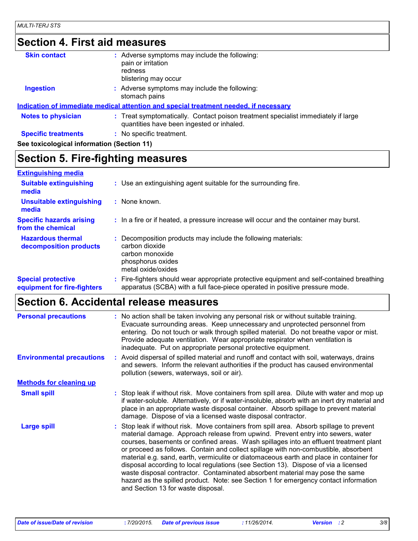### **Section 4. First aid measures**

| <b>Skin contact</b>                        | : Adverse symptoms may include the following:<br>pain or irritation<br>redness<br>blistering may occur                         |
|--------------------------------------------|--------------------------------------------------------------------------------------------------------------------------------|
| <b>Ingestion</b>                           | : Adverse symptoms may include the following:<br>stomach pains                                                                 |
|                                            | Indication of immediate medical attention and special treatment needed, if necessary                                           |
| <b>Notes to physician</b>                  | : Treat symptomatically. Contact poison treatment specialist immediately if large<br>quantities have been ingested or inhaled. |
| <b>Specific treatments</b>                 | : No specific treatment.                                                                                                       |
| See toxicological information (Section 11) |                                                                                                                                |
|                                            |                                                                                                                                |

### **Section 5. Fire-fighting measures**

#### **Hazardous thermal decomposition products Specific hazards arising from the chemical** Decomposition products may include the following materials: **:** carbon dioxide carbon monoxide phosphorus oxides metal oxide/oxides **:** In a fire or if heated, a pressure increase will occur and the container may burst. Fire-fighters should wear appropriate protective equipment and self-contained breathing **:** apparatus (SCBA) with a full face-piece operated in positive pressure mode. **Special protective equipment for fire-fighters** Use an extinguishing agent suitable for the surrounding fire. **: Extinguishing media :** None known. **Suitable extinguishing media Unsuitable extinguishing media**

### **Section 6. Accidental release measures**

| <b>Personal precautions</b>      | : No action shall be taken involving any personal risk or without suitable training.<br>Evacuate surrounding areas. Keep unnecessary and unprotected personnel from<br>entering. Do not touch or walk through spilled material. Do not breathe vapor or mist.<br>Provide adequate ventilation. Wear appropriate respirator when ventilation is<br>inadequate. Put on appropriate personal protective equipment.                                                                                                                                                                                                                                                                                                                                             |
|----------------------------------|-------------------------------------------------------------------------------------------------------------------------------------------------------------------------------------------------------------------------------------------------------------------------------------------------------------------------------------------------------------------------------------------------------------------------------------------------------------------------------------------------------------------------------------------------------------------------------------------------------------------------------------------------------------------------------------------------------------------------------------------------------------|
| <b>Environmental precautions</b> | : Avoid dispersal of spilled material and runoff and contact with soil, waterways, drains<br>and sewers. Inform the relevant authorities if the product has caused environmental<br>pollution (sewers, waterways, soil or air).                                                                                                                                                                                                                                                                                                                                                                                                                                                                                                                             |
| <b>Methods for cleaning up</b>   |                                                                                                                                                                                                                                                                                                                                                                                                                                                                                                                                                                                                                                                                                                                                                             |
| <b>Small spill</b>               | : Stop leak if without risk. Move containers from spill area. Dilute with water and mop up<br>if water-soluble. Alternatively, or if water-insoluble, absorb with an inert dry material and<br>place in an appropriate waste disposal container. Absorb spillage to prevent material<br>damage. Dispose of via a licensed waste disposal contractor.                                                                                                                                                                                                                                                                                                                                                                                                        |
| <b>Large spill</b>               | : Stop leak if without risk. Move containers from spill area. Absorb spillage to prevent<br>material damage. Approach release from upwind. Prevent entry into sewers, water<br>courses, basements or confined areas. Wash spillages into an effluent treatment plant<br>or proceed as follows. Contain and collect spillage with non-combustible, absorbent<br>material e.g. sand, earth, vermiculite or diatomaceous earth and place in container for<br>disposal according to local regulations (see Section 13). Dispose of via a licensed<br>waste disposal contractor. Contaminated absorbent material may pose the same<br>hazard as the spilled product. Note: see Section 1 for emergency contact information<br>and Section 13 for waste disposal. |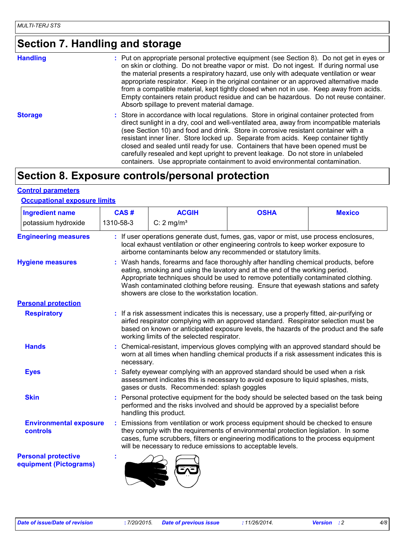## **Section 7. Handling and storage**

| <b>Handling</b> | : Put on appropriate personal protective equipment (see Section 8). Do not get in eyes or<br>on skin or clothing. Do not breathe vapor or mist. Do not ingest. If during normal use<br>the material presents a respiratory hazard, use only with adequate ventilation or wear<br>appropriate respirator. Keep in the original container or an approved alternative made<br>from a compatible material, kept tightly closed when not in use. Keep away from acids.<br>Empty containers retain product residue and can be hazardous. Do not reuse container.<br>Absorb spillage to prevent material damage.                   |
|-----------------|-----------------------------------------------------------------------------------------------------------------------------------------------------------------------------------------------------------------------------------------------------------------------------------------------------------------------------------------------------------------------------------------------------------------------------------------------------------------------------------------------------------------------------------------------------------------------------------------------------------------------------|
| <b>Storage</b>  | : Store in accordance with local regulations. Store in original container protected from<br>direct sunlight in a dry, cool and well-ventilated area, away from incompatible materials<br>(see Section 10) and food and drink. Store in corrosive resistant container with a<br>resistant inner liner. Store locked up. Separate from acids. Keep container tightly<br>closed and sealed until ready for use. Containers that have been opened must be<br>carefully resealed and kept upright to prevent leakage. Do not store in unlabeled<br>containers. Use appropriate containment to avoid environmental contamination. |

### **Section 8. Exposure controls/personal protection**

#### **Control parameters**

#### **Occupational exposure limits**

| <b>Ingredient name</b>                               | CAS#                                                                                                                                                                                                                                             | <b>ACGIH</b>                                                | <b>OSHA</b>                                                                                                                                                                                                                                                                                                                                     | <b>Mexico</b> |
|------------------------------------------------------|--------------------------------------------------------------------------------------------------------------------------------------------------------------------------------------------------------------------------------------------------|-------------------------------------------------------------|-------------------------------------------------------------------------------------------------------------------------------------------------------------------------------------------------------------------------------------------------------------------------------------------------------------------------------------------------|---------------|
| potassium hydroxide                                  | 1310-58-3                                                                                                                                                                                                                                        | $C: 2$ mg/m <sup>3</sup>                                    |                                                                                                                                                                                                                                                                                                                                                 |               |
| <b>Engineering measures</b>                          | : If user operations generate dust, fumes, gas, vapor or mist, use process enclosures,<br>local exhaust ventilation or other engineering controls to keep worker exposure to<br>airborne contaminants below any recommended or statutory limits. |                                                             |                                                                                                                                                                                                                                                                                                                                                 |               |
| <b>Hygiene measures</b>                              |                                                                                                                                                                                                                                                  | showers are close to the workstation location.              | : Wash hands, forearms and face thoroughly after handling chemical products, before<br>eating, smoking and using the lavatory and at the end of the working period.<br>Appropriate techniques should be used to remove potentially contaminated clothing.<br>Wash contaminated clothing before reusing. Ensure that eyewash stations and safety |               |
| <b>Personal protection</b>                           |                                                                                                                                                                                                                                                  |                                                             |                                                                                                                                                                                                                                                                                                                                                 |               |
| <b>Respiratory</b>                                   |                                                                                                                                                                                                                                                  | working limits of the selected respirator.                  | : If a risk assessment indicates this is necessary, use a properly fitted, air-purifying or<br>airfed respirator complying with an approved standard. Respirator selection must be<br>based on known or anticipated exposure levels, the hazards of the product and the safe                                                                    |               |
| <b>Hands</b>                                         | necessary.                                                                                                                                                                                                                                       |                                                             | Chemical-resistant, impervious gloves complying with an approved standard should be<br>worn at all times when handling chemical products if a risk assessment indicates this is                                                                                                                                                                 |               |
| <b>Eyes</b>                                          |                                                                                                                                                                                                                                                  | gases or dusts. Recommended: splash goggles                 | Safety eyewear complying with an approved standard should be used when a risk<br>assessment indicates this is necessary to avoid exposure to liquid splashes, mists,                                                                                                                                                                            |               |
| <b>Skin</b>                                          |                                                                                                                                                                                                                                                  | handling this product.                                      | Personal protective equipment for the body should be selected based on the task being<br>performed and the risks involved and should be approved by a specialist before                                                                                                                                                                         |               |
| <b>Environmental exposure</b><br>controls            |                                                                                                                                                                                                                                                  | will be necessary to reduce emissions to acceptable levels. | Emissions from ventilation or work process equipment should be checked to ensure<br>they comply with the requirements of environmental protection legislation. In some<br>cases, fume scrubbers, filters or engineering modifications to the process equipment                                                                                  |               |
| <b>Personal protective</b><br>equipment (Pictograms) |                                                                                                                                                                                                                                                  |                                                             |                                                                                                                                                                                                                                                                                                                                                 |               |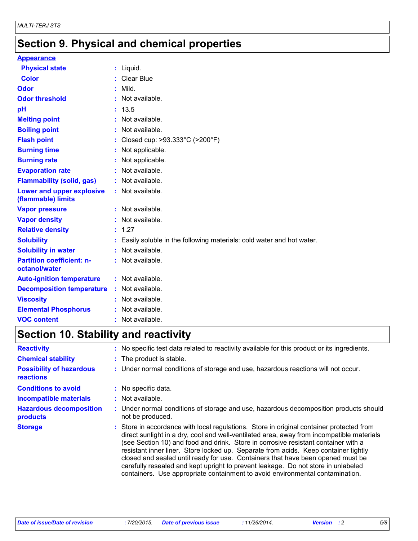### **Section 9. Physical and chemical properties**

#### **Appearance**

| <b>Physical state</b>                             | $:$ Liquid.                                                            |
|---------------------------------------------------|------------------------------------------------------------------------|
| <b>Color</b>                                      | : Clear Blue                                                           |
| Odor                                              | $:$ Mild.                                                              |
| <b>Odor threshold</b>                             | : Not available.                                                       |
| рH                                                | : 13.5                                                                 |
| <b>Melting point</b>                              | : Not available.                                                       |
| <b>Boiling point</b>                              | : Not available.                                                       |
| <b>Flash point</b>                                | : Closed cup: $>93.333^{\circ}$ C ( $>200^{\circ}$ F)                  |
| <b>Burning time</b>                               | : Not applicable.                                                      |
| <b>Burning rate</b>                               | : Not applicable.                                                      |
| <b>Evaporation rate</b>                           | : Not available.                                                       |
| <b>Flammability (solid, gas)</b>                  | : Not available.                                                       |
| Lower and upper explosive<br>(flammable) limits   | $:$ Not available.                                                     |
| <b>Vapor pressure</b>                             | : Not available.                                                       |
| <b>Vapor density</b>                              | : Not available.                                                       |
| <b>Relative density</b>                           | : 1.27                                                                 |
| <b>Solubility</b>                                 | : Easily soluble in the following materials: cold water and hot water. |
| <b>Solubility in water</b>                        | : Not available.                                                       |
| <b>Partition coefficient: n-</b><br>octanol/water | : Not available.                                                       |
| <b>Auto-ignition temperature</b>                  | : Not available.                                                       |
| <b>Decomposition temperature</b>                  | : Not available.                                                       |
| <b>Viscosity</b>                                  | : Not available.                                                       |
| <b>Elemental Phosphorus</b>                       | : Not available.                                                       |
| <b>VOC content</b>                                | Not available.                                                         |

### **Section 10. Stability and reactivity**

| <b>Reactivity</b>                                   | : No specific test data related to reactivity available for this product or its ingredients.                                                                                                                                                                                                                                                                                                                                                                                                                                                                                                                                |  |
|-----------------------------------------------------|-----------------------------------------------------------------------------------------------------------------------------------------------------------------------------------------------------------------------------------------------------------------------------------------------------------------------------------------------------------------------------------------------------------------------------------------------------------------------------------------------------------------------------------------------------------------------------------------------------------------------------|--|
| <b>Chemical stability</b>                           | : The product is stable.                                                                                                                                                                                                                                                                                                                                                                                                                                                                                                                                                                                                    |  |
| <b>Possibility of hazardous</b><br><b>reactions</b> | : Under normal conditions of storage and use, hazardous reactions will not occur.                                                                                                                                                                                                                                                                                                                                                                                                                                                                                                                                           |  |
| <b>Conditions to avoid</b>                          | : No specific data.                                                                                                                                                                                                                                                                                                                                                                                                                                                                                                                                                                                                         |  |
| <b>Incompatible materials</b>                       | $:$ Not available.                                                                                                                                                                                                                                                                                                                                                                                                                                                                                                                                                                                                          |  |
| <b>Hazardous decomposition</b><br>products          | : Under normal conditions of storage and use, hazardous decomposition products should<br>not be produced.                                                                                                                                                                                                                                                                                                                                                                                                                                                                                                                   |  |
| <b>Storage</b>                                      | : Store in accordance with local regulations. Store in original container protected from<br>direct sunlight in a dry, cool and well-ventilated area, away from incompatible materials<br>(see Section 10) and food and drink. Store in corrosive resistant container with a<br>resistant inner liner. Store locked up. Separate from acids. Keep container tightly<br>closed and sealed until ready for use. Containers that have been opened must be<br>carefully resealed and kept upright to prevent leakage. Do not store in unlabeled<br>containers. Use appropriate containment to avoid environmental contamination. |  |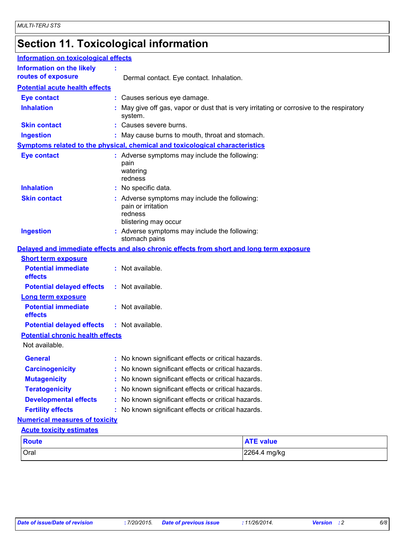## **Section 11. Toxicological information**

| <b>Information on toxicological effects</b>            |                                                                                                        |  |  |
|--------------------------------------------------------|--------------------------------------------------------------------------------------------------------|--|--|
| <b>Information on the likely</b><br>routes of exposure | Dermal contact. Eye contact. Inhalation.                                                               |  |  |
| <b>Potential acute health effects</b>                  |                                                                                                        |  |  |
| <b>Eye contact</b>                                     | : Causes serious eye damage.                                                                           |  |  |
| <b>Inhalation</b>                                      | May give off gas, vapor or dust that is very irritating or corrosive to the respiratory<br>system.     |  |  |
| <b>Skin contact</b>                                    | Causes severe burns.                                                                                   |  |  |
| <b>Ingestion</b>                                       | May cause burns to mouth, throat and stomach.                                                          |  |  |
|                                                        | Symptoms related to the physical, chemical and toxicological characteristics                           |  |  |
| <b>Eye contact</b>                                     | : Adverse symptoms may include the following:<br>pain<br>watering<br>redness                           |  |  |
| <b>Inhalation</b>                                      | : No specific data.                                                                                    |  |  |
| <b>Skin contact</b>                                    | : Adverse symptoms may include the following:<br>pain or irritation<br>redness<br>blistering may occur |  |  |
| <b>Ingestion</b>                                       | : Adverse symptoms may include the following:<br>stomach pains                                         |  |  |
|                                                        | Delayed and immediate effects and also chronic effects from short and long term exposure               |  |  |
| <b>Short term exposure</b>                             |                                                                                                        |  |  |
| <b>Potential immediate</b><br>effects                  | : Not available.                                                                                       |  |  |
| <b>Potential delayed effects</b>                       | : Not available.                                                                                       |  |  |
| <b>Long term exposure</b>                              |                                                                                                        |  |  |
| <b>Potential immediate</b><br>effects                  | : Not available.                                                                                       |  |  |
| <b>Potential delayed effects</b>                       | : Not available.                                                                                       |  |  |
| <b>Potential chronic health effects</b>                |                                                                                                        |  |  |
| Not available.                                         |                                                                                                        |  |  |
| General                                                | No known significant effects or critical hazards.                                                      |  |  |
| <b>Carcinogenicity</b>                                 | : No known significant effects or critical hazards.                                                    |  |  |
| <b>Mutagenicity</b>                                    | No known significant effects or critical hazards.                                                      |  |  |
| <b>Teratogenicity</b>                                  | No known significant effects or critical hazards.                                                      |  |  |
| <b>Developmental effects</b>                           | No known significant effects or critical hazards.                                                      |  |  |
| <b>Fertility effects</b>                               | No known significant effects or critical hazards.                                                      |  |  |
| <b>Numerical measures of toxicity</b>                  |                                                                                                        |  |  |
| <b>Acute toxicity estimates</b>                        |                                                                                                        |  |  |
| <b>Route</b>                                           | <b>ATE value</b>                                                                                       |  |  |
| Oral                                                   | 2264.4 mg/kg                                                                                           |  |  |
|                                                        |                                                                                                        |  |  |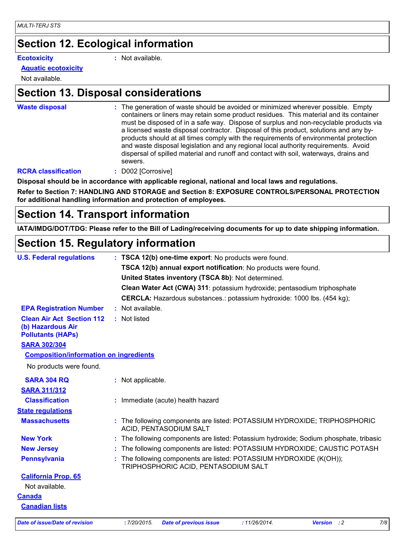### **Section 12. Ecological information**

**Ecotoxicity :**

: Not available.

#### **Aquatic ecotoxicity**

Not available.

### **Section 13. Disposal considerations**

**Waste disposal :**

The generation of waste should be avoided or minimized wherever possible. Empty containers or liners may retain some product residues. This material and its container must be disposed of in a safe way. Dispose of surplus and non-recyclable products via a licensed waste disposal contractor. Disposal of this product, solutions and any byproducts should at all times comply with the requirements of environmental protection and waste disposal legislation and any regional local authority requirements. Avoid dispersal of spilled material and runoff and contact with soil, waterways, drains and sewers.

#### **RCRA classification :** D002 [Corrosive]

**Disposal should be in accordance with applicable regional, national and local laws and regulations.**

**Refer to Section 7: HANDLING AND STORAGE and Section 8: EXPOSURE CONTROLS/PERSONAL PROTECTION for additional handling information and protection of employees.**

### **Section 14. Transport information**

**IATA/IMDG/DOT/TDG: Please refer to the Bill of Lading/receiving documents for up to date shipping information.**

### **Section 15. Regulatory information**

| <b>U.S. Federal regulations</b>                                                   |  | : TSCA 12(b) one-time export: No products were found.                                                     |
|-----------------------------------------------------------------------------------|--|-----------------------------------------------------------------------------------------------------------|
|                                                                                   |  | TSCA 12(b) annual export notification: No products were found.                                            |
|                                                                                   |  | United States inventory (TSCA 8b): Not determined.                                                        |
|                                                                                   |  | Clean Water Act (CWA) 311: potassium hydroxide; pentasodium triphosphate                                  |
|                                                                                   |  | <b>CERCLA:</b> Hazardous substances.: potassium hydroxide: 1000 lbs. (454 kg);                            |
| <b>EPA Registration Number</b>                                                    |  | : Not available.                                                                                          |
| <b>Clean Air Act Section 112</b><br>(b) Hazardous Air<br><b>Pollutants (HAPs)</b> |  | : Not listed                                                                                              |
| <b>SARA 302/304</b>                                                               |  |                                                                                                           |
| <b>Composition/information on ingredients</b>                                     |  |                                                                                                           |
| No products were found.                                                           |  |                                                                                                           |
| <b>SARA 304 RQ</b>                                                                |  | : Not applicable.                                                                                         |
| <b>SARA 311/312</b>                                                               |  |                                                                                                           |
| <b>Classification</b>                                                             |  | : Immediate (acute) health hazard                                                                         |
| <b>State regulations</b>                                                          |  |                                                                                                           |
| <b>Massachusetts</b>                                                              |  | : The following components are listed: POTASSIUM HYDROXIDE; TRIPHOSPHORIC<br>ACID, PENTASODIUM SALT       |
| <b>New York</b>                                                                   |  | : The following components are listed: Potassium hydroxide; Sodium phosphate, tribasic                    |
| <b>New Jersey</b>                                                                 |  | The following components are listed: POTASSIUM HYDROXIDE; CAUSTIC POTASH                                  |
| <b>Pennsylvania</b>                                                               |  | The following components are listed: POTASSIUM HYDROXIDE (K(OH));<br>TRIPHOSPHORIC ACID, PENTASODIUM SALT |
| <b>California Prop. 65</b>                                                        |  |                                                                                                           |
| Not available.                                                                    |  |                                                                                                           |
| <b>Canada</b>                                                                     |  |                                                                                                           |
| <b>Canadian lists</b>                                                             |  |                                                                                                           |
|                                                                                   |  |                                                                                                           |

*Date of issue/Date of revision* **:** *7/20/2015. Date of previous issue : 11/26/2014. Version : 2 7/8*